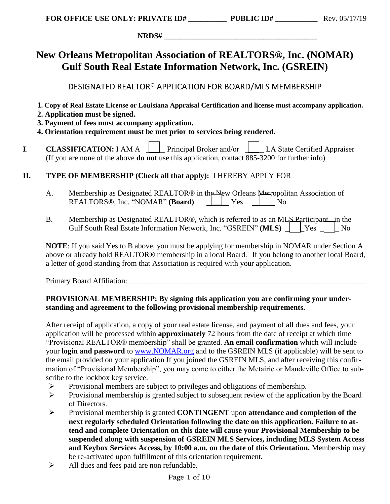**NRDS# \_\_\_\_\_\_\_\_\_\_\_\_\_\_\_\_\_\_\_\_\_\_\_\_\_\_\_\_\_\_\_\_\_\_\_\_\_\_\_\_** 

# **New Orleans Metropolitan Association of REALTORS®, Inc. (NOMAR) Gulf South Real Estate Information Network, Inc. (GSREIN)**

DESIGNATED REALTOR® APPLICATION FOR BOARD/MLS MEMBERSHIP

- **1. Copy of Real Estate License or Louisiana Appraisal Certification and license must accompany application.**
- **2. Application must be signed.**
- **3. Payment of fees must accompany application.**
- **4. Orientation requirement must be met prior to services being rendered.**
- **I. CLASSIFICATION:** I AM A  $\Box$  Principal Broker and/or  $\Box$  LA State Certified Appraiser (If you are none of the above **do not** use this application, contact 885-3200 for further info)

## **II. TYPE OF MEMBERSHIP (Check all that apply):** I HEREBY APPLY FOR

- A. Membership as Designated REALTOR<sup>®</sup> in the New Orleans Metropolitan Association of REALTORS®, Inc. "NOMAR" (**Board**) <u>| |</u> Yes | <u>|</u> No
- B. Membership as Designated REALTOR®, which is referred to as an MLS Participant in the Gulf South Real Estate Information Network, Inc. "GSREIN" (MLS)  $\parallel$  Yes  $\parallel$  No

**NOTE**: If you said Yes to B above, you must be applying for membership in NOMAR under Section A above or already hold REALTOR® membership in a local Board. If you belong to another local Board, a letter of good standing from that Association is required with your application.

Primary Board Affiliation:

### **PROVISIONAL MEMBERSHIP: By signing this application you are confirming your understanding and agreement to the following provisional membership requirements.**

After receipt of application, a copy of your real estate license, and payment of all dues and fees, your application will be processed within **approximately** 72 hours from the date of receipt at which time "Provisional REALTOR® membership" shall be granted. **An email confirmation** which will include your **login and password** to [www.NOMAR.org](http://www.nomar.org/) and to the GSREIN MLS (if applicable) will be sent to the email provided on your application If you joined the GSREIN MLS, and after receiving this confirmation of "Provisional Membership", you may come to either the Metairie or Mandeville Office to subscribe to the lockbox key service.

- ➢ Provisional members are subject to privileges and obligations of membership.
- ➢ Provisional membership is granted subject to subsequent review of the application by the Board of Directors.
- ➢ Provisional membership is granted **CONTINGENT** upon **attendance and completion of the next regularly scheduled Orientation following the date on this application. Failure to attend and complete Orientation on this date will cause your Provisional Membership to be suspended along with suspension of GSREIN MLS Services, including MLS System Access and Keybox Services Access, by 10:00 a.m. on the date of this Orientation.** Membership may be re-activated upon fulfillment of this orientation requirement.
- ➢ All dues and fees paid are non refundable.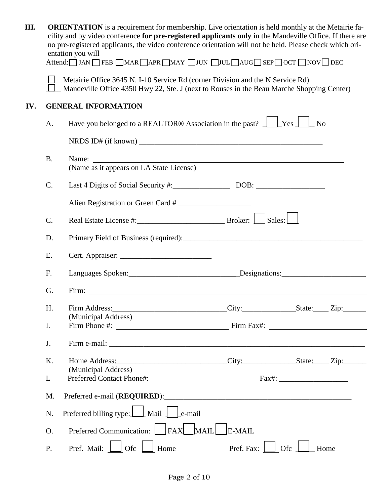| Ш.  |                                                                                                                                                                             | <b>ORIENTATION</b> is a requirement for membership. Live orientation is held monthly at the Metairie fa-<br>cility and by video conference for pre-registered applicants only in the Mandeville Office. If there are<br>no pre-registered applicants, the video conference orientation will not be held. Please check which ori-<br>entation you will<br>Attend: I JAN I FEB I MAR I APR I MAY I JUN I JUL I AUGI SEP I OCT I NOV DEC |            |     |      |  |  |
|-----|-----------------------------------------------------------------------------------------------------------------------------------------------------------------------------|---------------------------------------------------------------------------------------------------------------------------------------------------------------------------------------------------------------------------------------------------------------------------------------------------------------------------------------------------------------------------------------------------------------------------------------|------------|-----|------|--|--|
|     | Metairie Office 3645 N. I-10 Service Rd (corner Division and the N Service Rd)<br>Mandeville Office 4350 Hwy 22, Ste. J (next to Rouses in the Beau Marche Shopping Center) |                                                                                                                                                                                                                                                                                                                                                                                                                                       |            |     |      |  |  |
| IV. | <b>GENERAL INFORMATION</b>                                                                                                                                                  |                                                                                                                                                                                                                                                                                                                                                                                                                                       |            |     |      |  |  |
|     | А.                                                                                                                                                                          | Have you belonged to a REALTOR® Association in the past? $\Box$ Yes $\Box$ No                                                                                                                                                                                                                                                                                                                                                         |            |     |      |  |  |
|     |                                                                                                                                                                             |                                                                                                                                                                                                                                                                                                                                                                                                                                       |            |     |      |  |  |
|     | <b>B.</b>                                                                                                                                                                   | Name:<br>(Name as it appears on LA State License)                                                                                                                                                                                                                                                                                                                                                                                     |            |     |      |  |  |
|     | C.                                                                                                                                                                          |                                                                                                                                                                                                                                                                                                                                                                                                                                       |            |     |      |  |  |
|     |                                                                                                                                                                             | Alien Registration or Green Card #                                                                                                                                                                                                                                                                                                                                                                                                    |            |     |      |  |  |
|     | C.                                                                                                                                                                          |                                                                                                                                                                                                                                                                                                                                                                                                                                       |            |     |      |  |  |
|     | D.                                                                                                                                                                          |                                                                                                                                                                                                                                                                                                                                                                                                                                       |            |     |      |  |  |
|     | Ε.                                                                                                                                                                          |                                                                                                                                                                                                                                                                                                                                                                                                                                       |            |     |      |  |  |
|     | F.                                                                                                                                                                          |                                                                                                                                                                                                                                                                                                                                                                                                                                       |            |     |      |  |  |
|     | G.                                                                                                                                                                          | Firm: Firm:                                                                                                                                                                                                                                                                                                                                                                                                                           |            |     |      |  |  |
|     | Η.                                                                                                                                                                          | (Municipal Address)                                                                                                                                                                                                                                                                                                                                                                                                                   |            |     |      |  |  |
|     | I.                                                                                                                                                                          |                                                                                                                                                                                                                                                                                                                                                                                                                                       |            |     |      |  |  |
|     | J.                                                                                                                                                                          |                                                                                                                                                                                                                                                                                                                                                                                                                                       |            |     |      |  |  |
|     | K.                                                                                                                                                                          | Home Address: _________________________________City:___________________State:______Zip:_____________                                                                                                                                                                                                                                                                                                                                  |            |     |      |  |  |
|     | L                                                                                                                                                                           | (Municipal Address)                                                                                                                                                                                                                                                                                                                                                                                                                   |            |     |      |  |  |
|     | M.                                                                                                                                                                          | Preferred e-mail (REQUIRED):                                                                                                                                                                                                                                                                                                                                                                                                          |            |     |      |  |  |
|     | N.                                                                                                                                                                          | Preferred billing type: Mail Le-mail                                                                                                                                                                                                                                                                                                                                                                                                  |            |     |      |  |  |
|     | O.                                                                                                                                                                          | Preferred Communication: FAX MAIL E-MAIL                                                                                                                                                                                                                                                                                                                                                                                              |            |     |      |  |  |
|     | P.                                                                                                                                                                          | Pref. Mail:<br>Ofc<br>Home                                                                                                                                                                                                                                                                                                                                                                                                            | Pref. Fax: | Ofc | Home |  |  |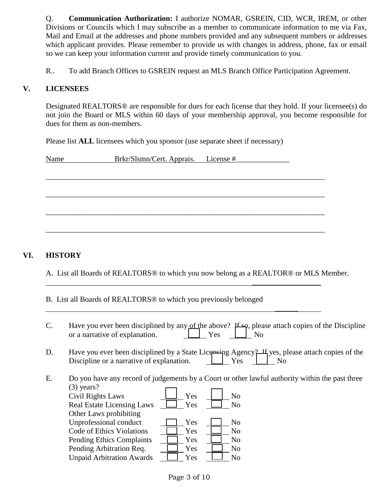Q. **Communication Authorization:** I authorize NOMAR, GSREIN, CID, WCR, IREM, or other Divisions or Councils which I may subscribe as a member to communicate information to me via Fax, Mail and Email at the addresses and phone numbers provided and any subsequent numbers or addresses which applicant provides. Please remember to provide us with changes in address, phone, fax or email so we can keep your information current and provide timely communication to you.

R.. To add Branch Offices to GSREIN request an MLS Branch Office Participation Agreement.

#### **V. LICENSEES**

Designated REALTORS® are responsible for dues for each license that they hold. If your licensee(s) do not join the Board or MLS within 60 days of your membership approval, you become responsible for dues for them as non-members.

Please list **ALL** licensees which you sponsor (use separate sheet if necessary)

| Name | Brkr/Slsmn/Cert. Apprais. License # |  |
|------|-------------------------------------|--|
|      |                                     |  |
|      |                                     |  |
|      |                                     |  |
|      |                                     |  |
|      |                                     |  |
|      |                                     |  |
|      |                                     |  |

#### **VI. HISTORY**

A. List all Boards of REALTORS® to which you now belong as a REALTOR® or MLS Member.

 $\frac{1}{2}$  ,  $\frac{1}{2}$  ,  $\frac{1}{2}$  ,  $\frac{1}{2}$  ,  $\frac{1}{2}$  ,  $\frac{1}{2}$  ,  $\frac{1}{2}$  ,  $\frac{1}{2}$  ,  $\frac{1}{2}$  ,  $\frac{1}{2}$ 

 $\frac{1}{2}$ 

B. List all Boards of REALTORS® to which you previously belonged

| $\mathcal{C}$ . | Have you ever been disciplined by any of the above? $H \hookrightarrow \infty$ , please attach copies of the Discipline<br>or a narrative of explanation.<br>Yes<br>No                                                                    |
|-----------------|-------------------------------------------------------------------------------------------------------------------------------------------------------------------------------------------------------------------------------------------|
| D.              | Have you ever been disciplined by a State Licensing Agency? If yes, please attach copies of the<br>Discipline or a narrative of explanation.<br>Yes<br>N <sub>0</sub>                                                                     |
| E.              | Do you have any record of judgements by a Court or other lawful authority within the past three<br>$(3)$ years?<br>Yes<br>Civil Rights Laws<br>N <sub>o</sub><br><b>Real Estate Licensing Laws</b><br>Yes<br>No<br>Other Laws prohibiting |
|                 | Unprofessional conduct<br>N <sub>o</sub><br>Yes<br>Code of Ethics Violations<br>Yes<br>No<br>Yes<br>N <sub>o</sub><br><b>Pending Ethics Complaints</b>                                                                                    |
|                 | Pending Arbitration Req.<br>Yes<br>N <sub>o</sub><br><b>Unpaid Arbitration Awards</b><br>Yes<br>No                                                                                                                                        |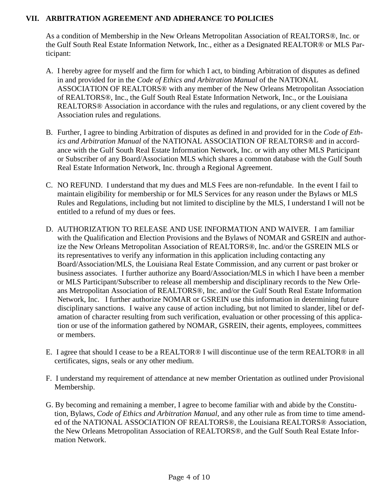#### **VII. ARBITRATION AGREEMENT AND ADHERANCE TO POLICIES**

As a condition of Membership in the New Orleans Metropolitan Association of REALTORS®, Inc. or the Gulf South Real Estate Information Network, Inc., either as a Designated REALTOR® or MLS Participant:

- A. I hereby agree for myself and the firm for which I act, to binding Arbitration of disputes as defined in and provided for in the *Code of Ethics and Arbitration Manual* of the NATIONAL ASSOCIATION OF REALTORS® with any member of the New Orleans Metropolitan Association of REALTORS®, Inc., the Gulf South Real Estate Information Network, Inc., or the Louisiana REALTORS® Association in accordance with the rules and regulations, or any client covered by the Association rules and regulations.
- B. Further, I agree to binding Arbitration of disputes as defined in and provided for in the *Code of Ethics and Arbitration Manual* of the NATIONAL ASSOCIATION OF REALTORS® and in accordance with the Gulf South Real Estate Information Network, Inc. or with any other MLS Participant or Subscriber of any Board/Association MLS which shares a common database with the Gulf South Real Estate Information Network, Inc. through a Regional Agreement.
- C. NO REFUND. I understand that my dues and MLS Fees are non-refundable. In the event I fail to maintain eligibility for membership or for MLS Services for any reason under the Bylaws or MLS Rules and Regulations, including but not limited to discipline by the MLS, I understand I will not be entitled to a refund of my dues or fees.
- D. AUTHORIZATION TO RELEASE AND USE INFORMATION AND WAIVER. I am familiar with the Qualification and Election Provisions and the Bylaws of NOMAR and GSREIN and authorize the New Orleans Metropolitan Association of REALTORS®, Inc. and/or the GSREIN MLS or its representatives to verify any information in this application including contacting any Board/Association/MLS, the Louisiana Real Estate Commission, and any current or past broker or business associates. I further authorize any Board/Association/MLS in which I have been a member or MLS Participant/Subscriber to release all membership and disciplinary records to the New Orleans Metropolitan Association of REALTORS®, Inc. and/or the Gulf South Real Estate Information Network, Inc. I further authorize NOMAR or GSREIN use this information in determining future disciplinary sanctions. I waive any cause of action including, but not limited to slander, libel or defamation of character resulting from such verification, evaluation or other processing of this application or use of the information gathered by NOMAR, GSREIN, their agents, employees, committees or members.
- E. I agree that should I cease to be a REALTOR® I will discontinue use of the term REALTOR® in all certificates, signs, seals or any other medium.
- F. I understand my requirement of attendance at new member Orientation as outlined under Provisional Membership.
- G. By becoming and remaining a member, I agree to become familiar with and abide by the Constitution, Bylaws, *Code of Ethics and Arbitration Manual,* and any other rule as from time to time amended of the NATIONAL ASSOCIATION OF REALTORS®, the Louisiana REALTORS® Association, the New Orleans Metropolitan Association of REALTORS®, and the Gulf South Real Estate Information Network.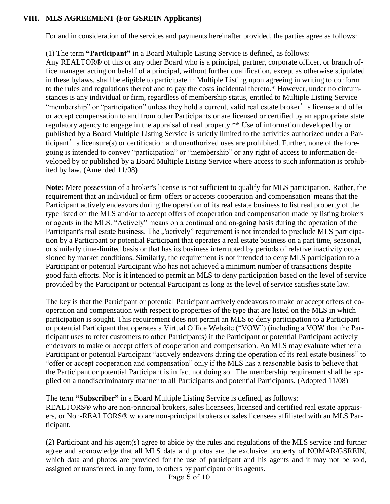#### **VIII. MLS AGREEMENT (For GSREIN Applicants)**

For and in consideration of the services and payments hereinafter provided, the parties agree as follows:

#### (1) The term **"Participant"** in a Board Multiple Listing Service is defined, as follows:

Any REALTOR® of this or any other Board who is a principal, partner, corporate officer, or branch office manager acting on behalf of a principal, without further qualification, except as otherwise stipulated in these bylaws, shall be eligible to participate in Multiple Listing upon agreeing in writing to conform to the rules and regulations thereof and to pay the costs incidental thereto.\* However, under no circumstances is any individual or firm, regardless of membership status, entitled to Multiple Listing Service "membership" or "participation" unless they hold a current, valid real estate broker's license and offer or accept compensation to and from other Participants or are licensed or certified by an appropriate state regulatory agency to engage in the appraisal of real property.\*\* Use of information developed by or published by a Board Multiple Listing Service is strictly limited to the activities authorized under a Participant's licensure(s) or certification and unauthorized uses are prohibited. Further, none of the foregoing is intended to convey "participation" or "membership" or any right of access to information developed by or published by a Board Multiple Listing Service where access to such information is prohibited by law. (Amended 11/08)

**Note:** Mere possession of a broker's license is not sufficient to qualify for MLS participation. Rather, the requirement that an individual or firm 'offers or accepts cooperation and compensation' means that the Participant actively endeavors during the operation of its real estate business to list real property of the type listed on the MLS and/or to accept offers of cooperation and compensation made by listing brokers or agents in the MLS. "Actively" means on a continual and on-going basis during the operation of the Participant's real estate business. The "'actively" requirement is not intended to preclude MLS participation by a Participant or potential Participant that operates a real estate business on a part time, seasonal, or similarly time-limited basis or that has its business interrupted by periods of relative inactivity occasioned by market conditions. Similarly, the requirement is not intended to deny MLS participation to a Participant or potential Participant who has not achieved a minimum number of transactions despite good faith efforts. Nor is it intended to permit an MLS to deny participation based on the level of service provided by the Participant or potential Participant as long as the level of service satisfies state law.

The key is that the Participant or potential Participant actively endeavors to make or accept offers of cooperation and compensation with respect to properties of the type that are listed on the MLS in which participation is sought. This requirement does not permit an MLS to deny participation to a Participant or potential Participant that operates a Virtual Office Website ("VOW") (including a VOW that the Participant uses to refer customers to other Participants) if the Participant or potential Participant actively endeavors to make or accept offers of cooperation and compensation. An MLS may evaluate whether a Participant or potential Participant "actively endeavors during the operation of its real estate business" to "offer or accept cooperation and compensation" only if the MLS has a reasonable basis to believe that the Participant or potential Participant is in fact not doing so. The membership requirement shall be applied on a nondiscriminatory manner to all Participants and potential Participants. (Adopted 11/08)

The term **"Subscriber"** in a Board Multiple Listing Service is defined, as follows: REALTORS® who are non-principal brokers, sales licensees, licensed and certified real estate appraisers, or Non-REALTORS® who are non-principal brokers or sales licensees affiliated with an MLS Participant.

(2) Participant and his agent(s) agree to abide by the rules and regulations of the MLS service and further agree and acknowledge that all MLS data and photos are the exclusive property of NOMAR/GSREIN, which data and photos are provided for the use of participant and his agents and it may not be sold, assigned or transferred, in any form, to others by participant or its agents.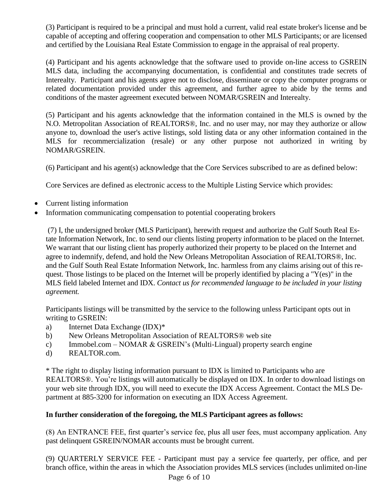(3) Participant is required to be a principal and must hold a current, valid real estate broker's license and be capable of accepting and offering cooperation and compensation to other MLS Participants; or are licensed and certified by the Louisiana Real Estate Commission to engage in the appraisal of real property.

(4) Participant and his agents acknowledge that the software used to provide on-line access to GSREIN MLS data, including the accompanying documentation, is confidential and constitutes trade secrets of Interealty. Participant and his agents agree not to disclose, disseminate or copy the computer programs or related documentation provided under this agreement, and further agree to abide by the terms and conditions of the master agreement executed between NOMAR/GSREIN and Interealty.

(5) Participant and his agents acknowledge that the information contained in the MLS is owned by the N.O. Metropolitan Association of REALTORS®, Inc. and no user may, nor may they authorize or allow anyone to, download the user's active listings, sold listing data or any other information contained in the MLS for recommercialization (resale) or any other purpose not authorized in writing by NOMAR/GSREIN.

(6) Participant and his agent(s) acknowledge that the Core Services subscribed to are as defined below:

Core Services are defined as electronic access to the Multiple Listing Service which provides:

- Current listing information
- Information communicating compensation to potential cooperating brokers

(7) I, the undersigned broker (MLS Participant), herewith request and authorize the Gulf South Real Estate Information Network, Inc. to send our clients listing property information to be placed on the Internet. We warrant that our listing client has properly authorized their property to be placed on the Internet and agree to indemnify, defend, and hold the New Orleans Metropolitan Association of REALTORS®, Inc. and the Gulf South Real Estate Information Network, Inc. harmless from any claims arising out of this request. Those listings to be placed on the Internet will be properly identified by placing a "Y(es)" in the MLS field labeled Internet and IDX. *Contact us for recommended language to be included in your listing agreement.* 

Participants listings will be transmitted by the service to the following unless Participant opts out in writing to GSREIN:

- a) Internet Data Exchange (IDX)\*
- b) New Orleans Metropolitan Association of REALTORS® web site
- c) Immobel.com NOMAR & GSREIN's (Multi-Lingual) property search engine
- d) REALTOR.com.

\* The right to display listing information pursuant to IDX is limited to Participants who are REALTORS®. You're listings will automatically be displayed on IDX. In order to download listings on your web site through IDX, you will need to execute the IDX Access Agreement. Contact the MLS Department at 885-3200 for information on executing an IDX Access Agreement.

#### **In further consideration of the foregoing, the MLS Participant agrees as follows:**

(8) An ENTRANCE FEE, first quarter's service fee, plus all user fees, must accompany application. Any past delinquent GSREIN/NOMAR accounts must be brought current.

(9) QUARTERLY SERVICE FEE - Participant must pay a service fee quarterly, per office, and per branch office, within the areas in which the Association provides MLS services (includes unlimited on-line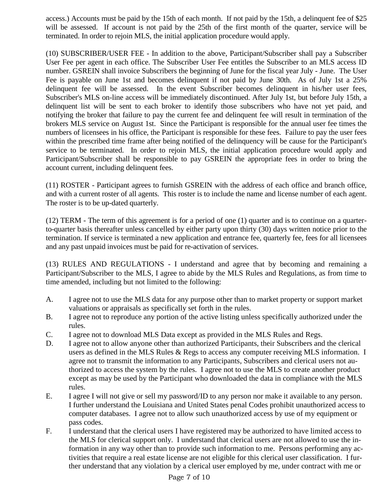access.) Accounts must be paid by the 15th of each month. If not paid by the 15th, a delinquent fee of \$25 will be assessed. If account is not paid by the 25th of the first month of the quarter, service will be terminated. In order to rejoin MLS, the initial application procedure would apply.

(10) SUBSCRIBER/USER FEE - In addition to the above, Participant/Subscriber shall pay a Subscriber User Fee per agent in each office. The Subscriber User Fee entitles the Subscriber to an MLS access ID number. GSREIN shall invoice Subscribers the beginning of June for the fiscal year July - June. The User Fee is payable on June 1st and becomes delinquent if not paid by June 30th. As of July 1st a 25% delinquent fee will be assessed. In the event Subscriber becomes delinquent in his/her user fees, Subscriber's MLS on-line access will be immediately discontinued. After July 1st, but before July 15th, a delinquent list will be sent to each broker to identify those subscribers who have not yet paid, and notifying the broker that failure to pay the current fee and delinquent fee will result in termination of the brokers MLS service on August 1st. Since the Participant is responsible for the annual user fee times the numbers of licensees in his office, the Participant is responsible for these fees. Failure to pay the user fees within the prescribed time frame after being notified of the delinquency will be cause for the Participant's service to be terminated. In order to rejoin MLS, the initial application procedure would apply and Participant/Subscriber shall be responsible to pay GSREIN the appropriate fees in order to bring the account current, including delinquent fees.

(11) ROSTER - Participant agrees to furnish GSREIN with the address of each office and branch office, and with a current roster of all agents. This roster is to include the name and license number of each agent. The roster is to be up-dated quarterly.

(12) TERM - The term of this agreement is for a period of one (1) quarter and is to continue on a quarterto-quarter basis thereafter unless cancelled by either party upon thirty (30) days written notice prior to the termination. If service is terminated a new application and entrance fee, quarterly fee, fees for all licensees and any past unpaid invoices must be paid for re-activation of services.

(13) RULES AND REGULATIONS - I understand and agree that by becoming and remaining a Participant/Subscriber to the MLS, I agree to abide by the MLS Rules and Regulations, as from time to time amended, including but not limited to the following:

- A. I agree not to use the MLS data for any purpose other than to market property or support market valuations or appraisals as specifically set forth in the rules.
- B. I agree not to reproduce any portion of the active listing unless specifically authorized under the rules.
- C. I agree not to download MLS Data except as provided in the MLS Rules and Regs.
- D. I agree not to allow anyone other than authorized Participants, their Subscribers and the clerical users as defined in the MLS Rules & Regs to access any computer receiving MLS information. I agree not to transmit the information to any Participants, Subscribers and clerical users not authorized to access the system by the rules. I agree not to use the MLS to create another product except as may be used by the Participant who downloaded the data in compliance with the MLS rules.
- E. I agree I will not give or sell my password/ID to any person nor make it available to any person. I further understand the Louisiana and United States penal Codes prohibit unauthorized access to computer databases. I agree not to allow such unauthorized access by use of my equipment or pass codes.
- F. I understand that the clerical users I have registered may be authorized to have limited access to the MLS for clerical support only. I understand that clerical users are not allowed to use the information in any way other than to provide such information to me. Persons performing any activities that require a real estate license are not eligible for this clerical user classification. I further understand that any violation by a clerical user employed by me, under contract with me or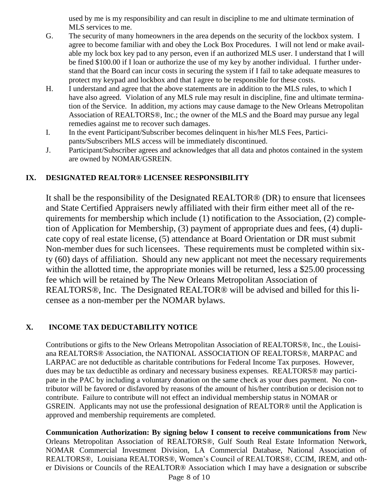used by me is my responsibility and can result in discipline to me and ultimate termination of MLS services to me.

- G. The security of many homeowners in the area depends on the security of the lockbox system. I agree to become familiar with and obey the Lock Box Procedures. I will not lend or make available my lock box key pad to any person, even if an authorized MLS user. I understand that I will be fined \$100.00 if I loan or authorize the use of my key by another individual. I further understand that the Board can incur costs in securing the system if I fail to take adequate measures to protect my keypad and lockbox and that I agree to be responsible for these costs.
- H. I understand and agree that the above statements are in addition to the MLS rules, to which I have also agreed. Violation of any MLS rule may result in discipline, fine and ultimate termination of the Service. In addition, my actions may cause damage to the New Orleans Metropolitan Association of REALTORS®, Inc.; the owner of the MLS and the Board may pursue any legal remedies against me to recover such damages.
- I. In the event Participant/Subscriber becomes delinquent in his/her MLS Fees, Participants/Subscribers MLS access will be immediately discontinued.
- J. Participant/Subscriber agrees and acknowledges that all data and photos contained in the system are owned by NOMAR/GSREIN.

## **IX. DESIGNATED REALTOR® LICENSEE RESPONSIBILITY**

It shall be the responsibility of the Designated REALTOR® (DR) to ensure that licensees and State Certified Appraisers newly affiliated with their firm either meet all of the requirements for membership which include (1) notification to the Association, (2) completion of Application for Membership, (3) payment of appropriate dues and fees, (4) duplicate copy of real estate license, (5) attendance at Board Orientation or DR must submit Non-member dues for such licensees. These requirements must be completed within sixty (60) days of affiliation. Should any new applicant not meet the necessary requirements within the allotted time, the appropriate monies will be returned, less a \$25.00 processing fee which will be retained by The New Orleans Metropolitan Association of REALTORS®, Inc. The Designated REALTOR® will be advised and billed for this licensee as a non-member per the NOMAR bylaws.

## **X. INCOME TAX DEDUCTABILITY NOTICE**

Contributions or gifts to the New Orleans Metropolitan Association of REALTORS®, Inc., the Louisiana REALTORS® Association, the NATIONAL ASSOCIATION OF REALTORS®, MARPAC and LARPAC are not deductible as charitable contributions for Federal Income Tax purposes. However, dues may be tax deductible as ordinary and necessary business expenses. REALTORS® may participate in the PAC by including a voluntary donation on the same check as your dues payment. No contributor will be favored or disfavored by reasons of the amount of his/her contribution or decision not to contribute. Failure to contribute will not effect an individual membership status in NOMAR or GSREIN. Applicants may not use the professional designation of REALTOR® until the Application is approved and membership requirements are completed.

**Communication Authorization: By signing below I consent to receive communications from** New Orleans Metropolitan Association of REALTORS®, Gulf South Real Estate Information Network, NOMAR Commercial Investment Division, LA Commercial Database, National Association of REALTORS®, Louisiana REALTORS®, Women's Council of REALTORS®, CCIM, IREM, and other Divisions or Councils of the REALTOR® Association which I may have a designation or subscribe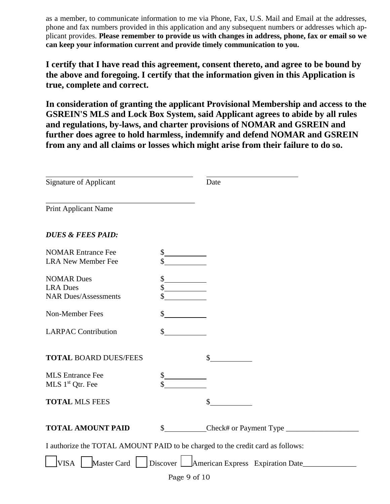as a member, to communicate information to me via Phone, Fax, U.S. Mail and Email at the addresses, phone and fax numbers provided in this application and any subsequent numbers or addresses which applicant provides. **Please remember to provide us with changes in address, phone, fax or email so we can keep your information current and provide timely communication to you.**

**I certify that I have read this agreement, consent thereto, and agree to be bound by the above and foregoing. I certify that the information given in this Application is true, complete and correct.**

**In consideration of granting the applicant Provisional Membership and access to the GSREIN'S MLS and Lock Box System, said Applicant agrees to abide by all rules and regulations, by-laws, and charter provisions of NOMAR and GSREIN and further does agree to hold harmless, indemnify and defend NOMAR and GSREIN from any and all claims or losses which might arise from their failure to do so.**

| <b>Signature of Applicant</b>                                                  |                | Date |  |  |  |
|--------------------------------------------------------------------------------|----------------|------|--|--|--|
| Print Applicant Name                                                           |                |      |  |  |  |
| <b>DUES &amp; FEES PAID:</b>                                                   |                |      |  |  |  |
| <b>NOMAR Entrance Fee</b><br><b>LRA New Member Fee</b>                         | \$             |      |  |  |  |
| <b>NOMAR Dues</b><br><b>LRA</b> Dues<br><b>NAR Dues/Assessments</b>            | \$<br>\$<br>\$ |      |  |  |  |
| Non-Member Fees                                                                | \$             |      |  |  |  |
| <b>LARPAC Contribution</b>                                                     | \$             |      |  |  |  |
| <b>TOTAL BOARD DUES/FEES</b>                                                   |                | \$   |  |  |  |
| <b>MLS</b> Entrance Fee<br>MLS 1 <sup>st</sup> Qtr. Fee                        | \$<br>\$       |      |  |  |  |
| <b>TOTAL MLS FEES</b>                                                          |                | \$   |  |  |  |
| <b>TOTAL AMOUNT PAID</b>                                                       |                |      |  |  |  |
| I authorize the TOTAL AMOUNT PAID to be charged to the credit card as follows: |                |      |  |  |  |
| Discover American Express Expiration Date<br>Master Card<br><b>VISA</b>        |                |      |  |  |  |